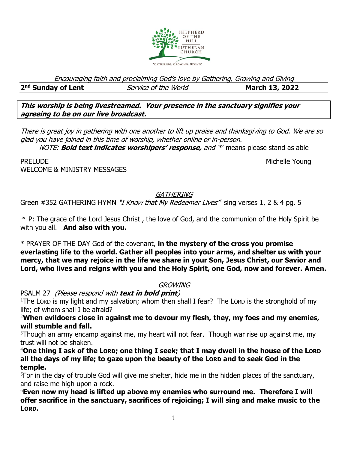

Encouraging faith and proclaiming God's love by Gathering, Growing and Giving

2<sup>nd</sup> Sunday of Lent

**nd** Service of the World **March 13, 2022** 

**This worship is being livestreamed. Your presence in the sanctuary signifies your agreeing to be on our live broadcast.** 

There is great joy in gathering with one another to lift up praise and thanksgiving to God. We are so glad you have joined in this time of worship, whether online or in-person.

NOTE: **Bold text indicates worshipers' response,** and '\*' means please stand as able

PRELUDE NICHELE YOUNGER AND THE SERVICE OF THE SERVICE OF THE MICHELE YOUNGER AND MICHELE YOUNGER WELCOME & MINISTRY MESSAGES

**GATHERING** 

Green #352 GATHERING HYMN "*I Know that My Redeemer Lives*" sing verses 1, 2 & 4 pg. 5

 $*$  P: The grace of the Lord Jesus Christ, the love of God, and the communion of the Holy Spirit be with you all. **And also with you.**

\* PRAYER OF THE DAY God of the covenant, **in the mystery of the cross you promise everlasting life to the world. Gather all peoples into your arms, and shelter us with your mercy, that we may rejoice in the life we share in your Son, Jesus Christ, our Savior and Lord, who lives and reigns with you and the Holy Spirit, one God, now and forever. Amen.**

# **GROWING**

PSALM 27 (Please respond with **text in bold print**)

<sup>1</sup>The LORD is my light and my salvation; whom then shall I fear? The LORD is the stronghold of my life; of whom shall I be afraid?

<sup>2</sup>**When evildoers close in against me to devour my flesh, they, my foes and my enemies, will stumble and fall.**

 $3$ Though an army encamp against me, my heart will not fear. Though war rise up against me, my trust will not be shaken.

<sup>4</sup>**One thing I ask of the LORD; one thing I seek; that I may dwell in the house of the LORD all the days of my life; to gaze upon the beauty of the LORD and to seek God in the temple.**

 $5$ For in the day of trouble God will give me shelter, hide me in the hidden places of the sanctuary, and raise me high upon a rock.

<sup>6</sup>**Even now my head is lifted up above my enemies who surround me. Therefore I will offer sacrifice in the sanctuary, sacrifices of rejoicing; I will sing and make music to the LORD.**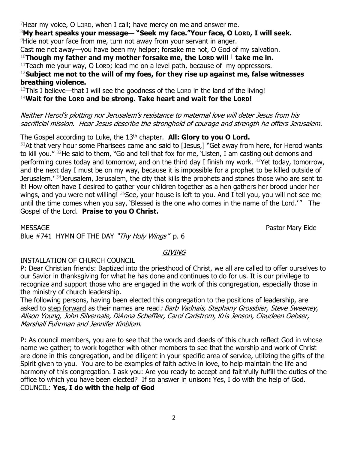Hear my voice, O Lord, when I call; have mercy on me and answer me. **My heart speaks your message— "Seek my face."Your face, O LORD, I will seek.** <sup>9</sup>Hide not your face from me, turn not away from your servant in anger. Cast me not away—you have been my helper; forsake me not, O God of my salvation. **Though my father and my mother forsake me, the LORD will <sup>|</sup> take me in.** Teach me your way, O Lorp; lead me on a level path, because of my oppressors. **Subject me not to the will of my foes, for they rise up against me, false witnesses breathing violence.** This I believe—that I will see the goodness of the LORD in the land of the living! **Wait for the LORD and be strong. Take heart and wait for the LORD!**

Neither Herod's plotting nor Jerusalem's resistance to maternal love will deter Jesus from his

sacrificial mission. Hear Jesus describe the stronghold of courage and strength he offers Jerusalem.

The Gospel according to Luke, the 13<sup>th</sup> chapter. **All: Glory to you O Lord.** 

 $31$ At that very hour some Pharisees came and said to [Jesus,] "Get away from here, for Herod wants to kill you." <sup>32</sup>He said to them, "Go and tell that fox for me, 'Listen, I am casting out demons and performing cures today and tomorrow, and on the third day I finish my work. <sup>33</sup>Yet today, tomorrow, and the next day I must be on my way, because it is impossible for a prophet to be killed outside of Jerusalem.' <sup>34</sup>Jerusalem, Jerusalem, the city that kills the prophets and stones those who are sent to it! How often have I desired to gather your children together as a hen gathers her brood under her wings, and you were not willing! <sup>35</sup>See, your house is left to you. And I tell you, you will not see me until the time comes when you say, 'Blessed is the one who comes in the name of the Lord.'" The Gospel of the Lord. **Praise to you O Christ.**

MESSAGE Pastor Mary Eide

Blue #741 HYMN OF THE DAY "Thy Holy Wings" p. 6

## GIVING

### INSTALLATION OF CHURCH COUNCIL

P: Dear Christian friends: Baptized into the priesthood of Christ, we all are called to offer ourselves to our Savior in thanksgiving for what he has done and continues to do for us. It is our privilege to recognize and support those who are engaged in the work of this congregation, especially those in the ministry of church leadership.

The following persons, having been elected this congregation to the positions of leadership, are asked to step forward as their names are read: Barb Vadnais, Stephany Grossbier, Steve Sweeney, Alison Young, John Silvernale, DiAnna Scheffler, Carol Carlstrom, Kris Jenson, Claudeen Oebser, Marshall Fuhrman and Jennifer Kinblom.

P: As council members, you are to see that the words and deeds of this church reflect God in whose name we gather; to work together with other members to see that the worship and work of Christ are done in this congregation, and be diligent in your specific area of service, utilizing the gifts of the Spirit given to you. You are to be examples of faith active in love, to help maintain the life and harmony of this congregation. I ask you: Are you ready to accept and faithfully fulfill the duties of the office to which you have been elected? If so answer in unison**:** Yes, I do with the help of God. COUNCIL: **Yes, I do with the help of God**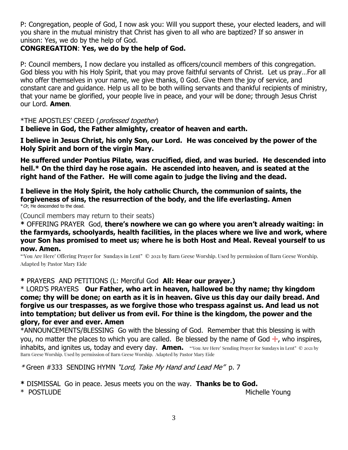P: Congregation, people of God, I now ask you: Will you support these, your elected leaders, and will you share in the mutual ministry that Christ has given to all who are baptized? If so answer in unison: Yes, we do by the help of God.

## **CONGREGATION**: **Yes, we do by the help of God.**

P: Council members, I now declare you installed as officers/council members of this congregation. God bless you with his Holy Spirit, that you may prove faithful servants of Christ. Let us pray…For all who offer themselves in your name, we give thanks, 0 God. Give them the joy of service, and constant care and guidance. Help us all to be both willing servants and thankful recipients of ministry, that your name be glorified, your people live in peace, and your will be done; through Jesus Christ our Lord. **Amen**.

\*THE APOSTLES' CREED (professed together)

**I believe in God, the Father almighty, creator of heaven and earth.**

**I believe in Jesus Christ, his only Son, our Lord. He was conceived by the power of the Holy Spirit and born of the virgin Mary.**

**He suffered under Pontius Pilate, was crucified, died, and was buried. He descended into hell.\* On the third day he rose again. He ascended into heaven, and is seated at the right hand of the Father. He will come again to judge the living and the dead.**

**I believe in the Holy Spirit, the holy catholic Church, the communion of saints, the forgiveness of sins, the resurrection of the body, and the life everlasting. Amen**  $*$  Or, He descended to the dead.

(Council members may return to their seats)

**\*** OFFERING PRAYERGod, **there's nowhere we can go where you aren't already waiting: in the farmyards, schoolyards, health facilities, in the places where we live and work, where your Son has promised to meet us; where he is both Host and Meal. Reveal yourself to us now. Amen.** 

"'You Are Here' Offering Prayer for Sundays in Lent" © 2021 by Barn Geese Worship. Used by permission of Barn Geese Worship. Adapted by Pastor Mary Eide

**\*** PRAYERS AND PETITIONS (L: Merciful God **All: Hear our prayer.)**

\* LORD'S PRAYERS **Our Father, who art in heaven, hallowed be thy name; thy kingdom come; thy will be done; on earth as it is in heaven. Give us this day our daily bread. And forgive us our trespasses, as we forgive those who trespass against us. And lead us not into temptation; but deliver us from evil. For thine is the kingdom, the power and the glory, for ever and ever. Amen**

\*ANNOUNCEMENTS/BLESSING Go with the blessing of God. Remember that this blessing is with you, no matter the places to which you are called. Be blessed by the name of God  $\pm$ , who inspires, inhabits, and ignites us, today and every day. **Amen.** "'You Are Here' Sending Prayer for Sundays in Lent" © 2021 by Barn Geese Worship. Used by permission of Barn Geese Worship. Adapted by Pastor Mary Eide

\* Green #333SENDING HYMN "Lord, Take My Hand and Lead Me" p. 7

**\*** DISMISSALGo in peace. Jesus meets you on the way. **Thanks be to God.**

\* POSTLUDE Michelle Young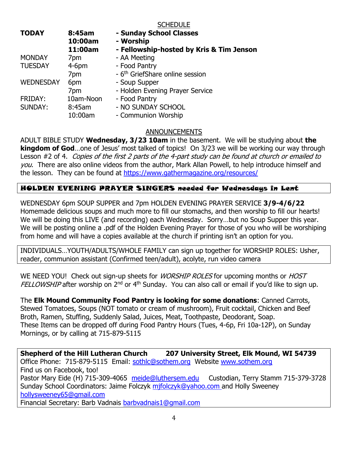#### **SCHEDULE**

| <b>TODAY</b>     | 8:45am<br>10:00am | - Sunday School Classes<br>- Worship        |
|------------------|-------------------|---------------------------------------------|
|                  | 11:00am           | - Fellowship-hosted by Kris & Tim Jenson    |
| <b>MONDAY</b>    | 7pm               | - AA Meeting                                |
| <b>TUESDAY</b>   | $4-6$ pm          | - Food Pantry                               |
|                  | 7pm               | - 6 <sup>th</sup> GriefShare online session |
| <b>WEDNESDAY</b> | 6pm               | - Soup Supper                               |
|                  | 7pm               | - Holden Evening Prayer Service             |
| <b>FRIDAY:</b>   | 10am-Noon         | - Food Pantry                               |
| <b>SUNDAY:</b>   | 8:45am            | - NO SUNDAY SCHOOL                          |
|                  | 10:00am           | - Communion Worship                         |

ANNOUNCEMENTS

ADULT BIBLE STUDY **Wednesday, 3/23 10am** in the basement. We will be studying about **the kingdom of God**…one of Jesus' most talked of topics! On 3/23 we will be working our way through Lesson #2 of 4. Copies of the first 2 parts of the 4-part study can be found at church or emailed to you. There are also online videos from the author, Mark Allan Powell, to help introduce himself and the lesson. They can be found at<https://www.gathermagazine.org/resources/>

### HOLDEN EVENING PRAYER SINGERS needed for Wednesdays in Lent

WEDNESDAY 6pm SOUP SUPPER and 7pm HOLDEN EVENING PRAYER SERVICE **3/9-4/6/22** Homemade delicious soups and much more to fill our stomachs, and then worship to fill our hearts! We will be doing this LIVE (and recording) each Wednesday. Sorry...but no Soup Supper this year. We will be posting online a .pdf of the Holden Evening Prayer for those of you who will be worshiping from home and will have a copies available at the church if printing isn't an option for you.

INDIVIDUALS…YOUTH/ADULTS/WHOLE FAMILY can sign up together for WORSHIP ROLES: Usher, reader, communion assistant (Confirmed teen/adult), acolyte, run video camera

WE NEED YOU! Check out sign-up sheets for *WORSHIP ROLES* for upcoming months or *HOST* FELLOWSHIP after worship on 2<sup>nd</sup> or 4<sup>th</sup> Sunday. You can also call or email if you'd like to sign up.

The **Elk Mound Community Food Pantry is looking for some donations**: Canned Carrots, Stewed Tomatoes, Soups (NOT tomato or cream of mushroom), Fruit cocktail, Chicken and Beef Broth, Ramen, Stuffing, Suddenly Salad, Juices, Meat, Toothpaste, Deodorant, Soap. These Items can be dropped off during Food Pantry Hours (Tues, 4-6p, Fri 10a-12P), on Sunday Mornings, or by calling at 715-879-5115

**Shepherd of the Hill Lutheran Church 207 University Street, Elk Mound, WI 54739** Office Phone: 715-879-5115 Email: [sothlc@sothem.org](mailto:sothlc@sothem.org) Website [www.sothem.org](http://www.sothem.org/)  Find us on Facebook, too! Pastor Mary Eide (H) 715-309-4065 [meide@luthersem.edu](mailto:meide@luthersem.edu) Custodian, Terry Stamm 715-379-3728 Sunday School Coordinators: Jaime Folczyk mifolczyk@yahoo.com and Holly Sweeney [hollysweeney65@gmail.com](mailto:hollysweeney65@gmail.com) Financial Secretary: Barb Vadnais [barbvadnais1@gmail.com](mailto:barbvadnais1@gmail.com)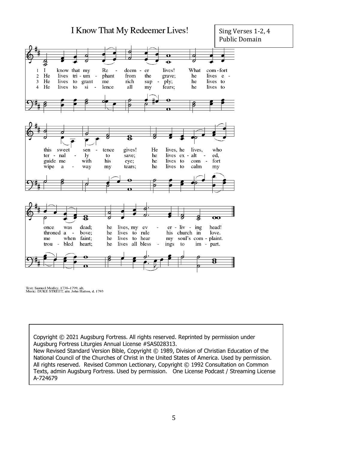

Text: Samuel Medley, 1738–1799, alt.<br>Music: DUKE STREET, attr. John Hatton, d. 1793

Copyright © 2021 Augsburg Fortress. All rights reserved. Reprinted by permission under Augsburg Fortress Liturgies Annual License #SAS028313.

New Revised Standard Version Bible, Copyright © 1989, Division of Christian Education of the National Council of the Churches of Christ in the United States of America. Used by permission. All rights reserved. Revised Common Lectionary, Copyright © 1992 Consultation on Common Texts, admin Augsburg Fortress. Used by permission. One License Podcast / Streaming License A-724679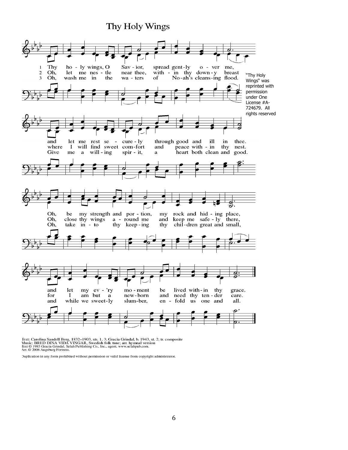## Thy Holy Wings



Iext: Carolina Sandell Berg, 1832–1903, sts. 1, 3; Gracia Grindal, b. 1943, st. 2; tr. composite Music: BRED DINA VIDA VINGAR, Swedish folk tune; arr. hymnal version lext © 1983 Gracia Grindal, Selah Publishing Co., Inc.,

Duplication in any form prohibited without permission or valid license from copyright administrator.